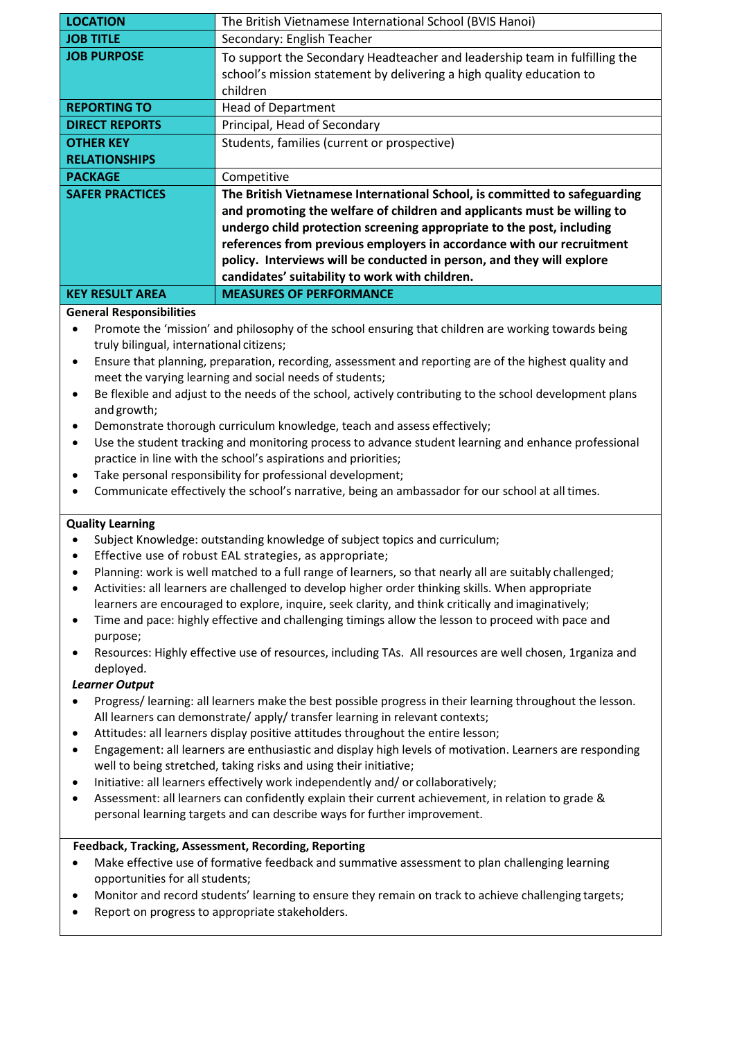| <b>LOCATION</b>        | The British Vietnamese International School (BVIS Hanoi)                   |
|------------------------|----------------------------------------------------------------------------|
| JOB TITLE              | Secondary: English Teacher                                                 |
| <b>JOB PURPOSE</b>     | To support the Secondary Headteacher and leadership team in fulfilling the |
|                        | school's mission statement by delivering a high quality education to       |
|                        | children                                                                   |
| <b>REPORTING TO</b>    | <b>Head of Department</b>                                                  |
| <b>DIRECT REPORTS</b>  | Principal, Head of Secondary                                               |
| <b>OTHER KEY</b>       | Students, families (current or prospective)                                |
| <b>RELATIONSHIPS</b>   |                                                                            |
| <b>PACKAGE</b>         | Competitive                                                                |
| <b>SAFER PRACTICES</b> | The British Vietnamese International School, is committed to safeguarding  |
|                        | and promoting the welfare of children and applicants must be willing to    |
|                        | undergo child protection screening appropriate to the post, including      |
|                        | references from previous employers in accordance with our recruitment      |
|                        | policy. Interviews will be conducted in person, and they will explore      |
|                        | candidates' suitability to work with children.                             |
| <b>KEY RESULT AREA</b> | <b>MEASURES OF PERFORMANCE</b>                                             |

### **General Responsibilities**

- Promote the 'mission' and philosophy of the school ensuring that children are working towards being truly bilingual, international citizens;
- Ensure that planning, preparation, recording, assessment and reporting are of the highest quality and meet the varying learning and social needs of students;
- Be flexible and adjust to the needs of the school, actively contributing to the school development plans and growth;
- Demonstrate thorough curriculum knowledge, teach and assess effectively;
- Use the student tracking and monitoring process to advance student learning and enhance professional practice in line with the school's aspirations and priorities;
- Take personal responsibility for professional development;
- Communicate effectively the school's narrative, being an ambassador for our school at all times.

#### **Quality Learning**

- Subject Knowledge: outstanding knowledge of subject topics and curriculum;
- Effective use of robust EAL strategies, as appropriate;
- Planning: work is well matched to a full range of learners, so that nearly all are suitably challenged;
- Activities: all learners are challenged to develop higher order thinking skills. When appropriate learners are encouraged to explore, inquire, seek clarity, and think critically and imaginatively;
- Time and pace: highly effective and challenging timings allow the lesson to proceed with pace and purpose;
- Resources: Highly effective use of resources, including TAs. All resources are well chosen, 1rganiza and deployed.

### *Learner Output*

- Progress/ learning: all learners make the best possible progress in their learning throughout the lesson. All learners can demonstrate/ apply/ transfer learning in relevant contexts;
- Attitudes: all learners display positive attitudes throughout the entire lesson;
- Engagement: all learners are enthusiastic and display high levels of motivation. Learners are responding well to being stretched, taking risks and using their initiative;
- Initiative: all learners effectively work independently and/ or collaboratively;
- Assessment: all learners can confidently explain their current achievement, in relation to grade & personal learning targets and can describe ways for further improvement.

#### **Feedback, Tracking, Assessment, Recording, Reporting**

- Make effective use of formative feedback and summative assessment to plan challenging learning opportunities for all students:
- Monitor and record students' learning to ensure they remain on track to achieve challenging targets;
- Report on progress to appropriate stakeholders.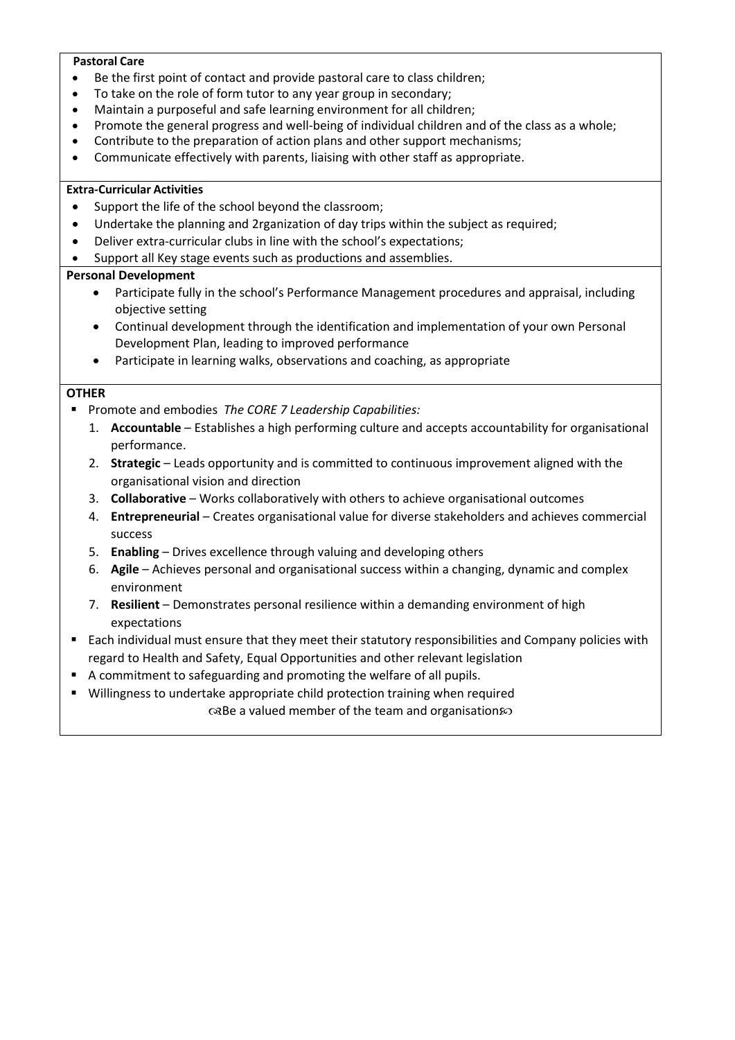### **Pastoral Care**

- Be the first point of contact and provide pastoral care to class children;
- To take on the role of form tutor to any year group in secondary;
- Maintain a purposeful and safe learning environment for all children;
- Promote the general progress and well-being of individual children and of the class as a whole;
- Contribute to the preparation of action plans and other support mechanisms;
- Communicate effectively with parents, liaising with other staff as appropriate.

#### **Extra-Curricular Activities**

- Support the life of the school beyond the classroom;
- Undertake the planning and 2rganization of day trips within the subject as required;
- Deliver extra-curricular clubs in line with the school's expectations;
- Support all Key stage events such as productions and assemblies.

### **Personal Development**

- Participate fully in the school's Performance Management procedures and appraisal, including objective setting
- Continual development through the identification and implementation of your own Personal Development Plan, leading to improved performance
- Participate in learning walks, observations and coaching, as appropriate

#### **OTHER**

- Promote and embodies *The CORE 7 Leadership Capabilities:* 
	- 1. **Accountable**  Establishes a high performing culture and accepts accountability for organisational performance.
	- 2. **Strategic**  Leads opportunity and is committed to continuous improvement aligned with the organisational vision and direction
	- 3. **Collaborative**  Works collaboratively with others to achieve organisational outcomes
	- 4. **Entrepreneurial**  Creates organisational value for diverse stakeholders and achieves commercial success
	- 5. **Enabling**  Drives excellence through valuing and developing others
	- 6. **Agile**  Achieves personal and organisational success within a changing, dynamic and complex environment
	- 7. **Resilient**  Demonstrates personal resilience within a demanding environment of high expectations
- Each individual must ensure that they meet their statutory responsibilities and Company policies with regard to Health and Safety, Equal Opportunities and other relevant legislation
- A commitment to safeguarding and promoting the welfare of all pupils.
- Willingness to undertake appropriate child protection training when required  $\infty$ Be a valued member of the team and organisation $\infty$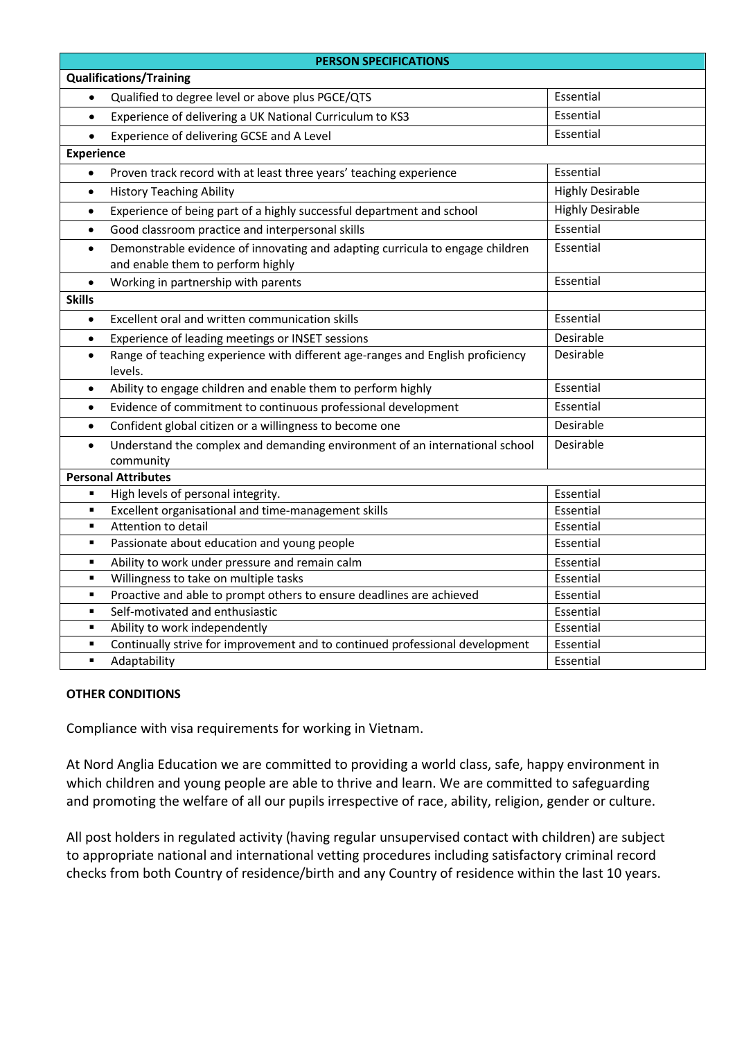| <b>PERSON SPECIFICATIONS</b>                                                                                                    |                                                                    |                         |  |
|---------------------------------------------------------------------------------------------------------------------------------|--------------------------------------------------------------------|-------------------------|--|
| <b>Qualifications/Training</b>                                                                                                  |                                                                    |                         |  |
| $\bullet$                                                                                                                       | Qualified to degree level or above plus PGCE/QTS                   |                         |  |
| Experience of delivering a UK National Curriculum to KS3<br>$\bullet$                                                           |                                                                    | Essential               |  |
|                                                                                                                                 | Experience of delivering GCSE and A Level                          |                         |  |
| <b>Experience</b>                                                                                                               |                                                                    |                         |  |
| $\bullet$                                                                                                                       | Proven track record with at least three years' teaching experience | Essential               |  |
| <b>History Teaching Ability</b><br>$\bullet$                                                                                    |                                                                    | <b>Highly Desirable</b> |  |
| Experience of being part of a highly successful department and school<br>$\bullet$                                              |                                                                    | <b>Highly Desirable</b> |  |
| Good classroom practice and interpersonal skills<br>$\bullet$                                                                   |                                                                    | Essential               |  |
| Demonstrable evidence of innovating and adapting curricula to engage children<br>$\bullet$<br>and enable them to perform highly |                                                                    | Essential               |  |
| Working in partnership with parents                                                                                             |                                                                    | Essential               |  |
| <b>Skills</b>                                                                                                                   |                                                                    |                         |  |
| Excellent oral and written communication skills<br>$\bullet$                                                                    |                                                                    | Essential               |  |
| Experience of leading meetings or INSET sessions<br>$\bullet$                                                                   |                                                                    | Desirable               |  |
| Range of teaching experience with different age-ranges and English proficiency<br>$\bullet$<br>levels.                          |                                                                    | Desirable               |  |
| $\bullet$                                                                                                                       | Ability to engage children and enable them to perform highly       | Essential               |  |
| Evidence of commitment to continuous professional development<br>$\bullet$                                                      |                                                                    | Essential               |  |
| $\bullet$                                                                                                                       | Confident global citizen or a willingness to become one            |                         |  |
| Understand the complex and demanding environment of an international school<br>$\bullet$<br>community                           |                                                                    | Desirable               |  |
| <b>Personal Attributes</b>                                                                                                      |                                                                    |                         |  |
| High levels of personal integrity.<br>٠                                                                                         |                                                                    | Essential               |  |
| Excellent organisational and time-management skills<br>٠                                                                        |                                                                    | Essential               |  |
| Attention to detail<br>٠                                                                                                        |                                                                    | Essential               |  |
| Passionate about education and young people<br>$\blacksquare$                                                                   |                                                                    | Essential               |  |
| Ability to work under pressure and remain calm<br>٠                                                                             |                                                                    | Essential               |  |
| Willingness to take on multiple tasks<br>٠                                                                                      |                                                                    | Essential               |  |
| Proactive and able to prompt others to ensure deadlines are achieved<br>٠                                                       |                                                                    | Essential               |  |
| Self-motivated and enthusiastic<br>٠                                                                                            |                                                                    | Essential               |  |
| Ability to work independently<br>$\blacksquare$                                                                                 |                                                                    | Essential               |  |
| Continually strive for improvement and to continued professional development<br>$\blacksquare$                                  |                                                                    | Essential               |  |
| Adaptability<br>٠                                                                                                               |                                                                    | Essential               |  |

## **OTHER CONDITIONS**

Compliance with visa requirements for working in Vietnam.

At Nord Anglia Education we are committed to providing a world class, safe, happy environment in which children and young people are able to thrive and learn. We are committed to safeguarding and promoting the welfare of all our pupils irrespective of race, ability, religion, gender or culture.

All post holders in regulated activity (having regular unsupervised contact with children) are subject to appropriate national and international vetting procedures including satisfactory criminal record checks from both Country of residence/birth and any Country of residence within the last 10 years.